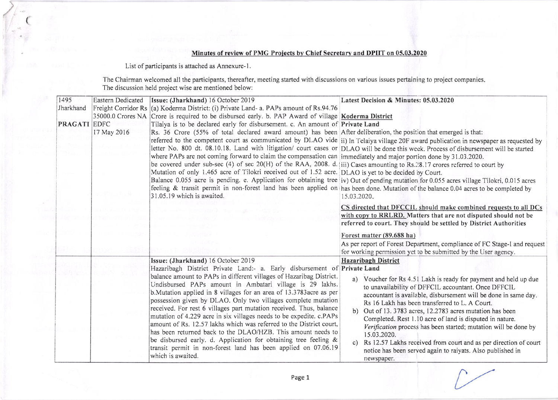## Minutes of review of PMG Projects by Chief Secretary and DPIIT on 05.03.2020

List of participants is attached as Annexure-1.

(

The Chairman welcomed all the participants, thereafter, meeting started with discussions on various issues pertaining to project companies. The discussion held project wise are mentioned below:

| 1495                | Eastern Dedicated | Issue: (Jharkhand) 16 October 2019                                                                                                                                                                                                                                                                                                                                                                                                                                                                                                                                                   | Latest Decision & Minutes: 05.03.2020                                                                                                                                                                                                                                                                                                                                                                                                                                                                                                                                                |
|---------------------|-------------------|--------------------------------------------------------------------------------------------------------------------------------------------------------------------------------------------------------------------------------------------------------------------------------------------------------------------------------------------------------------------------------------------------------------------------------------------------------------------------------------------------------------------------------------------------------------------------------------|--------------------------------------------------------------------------------------------------------------------------------------------------------------------------------------------------------------------------------------------------------------------------------------------------------------------------------------------------------------------------------------------------------------------------------------------------------------------------------------------------------------------------------------------------------------------------------------|
| Jharkhand           |                   | Freight Corridor Rs (a) Koderma District: (i) Private Land- a. PAPs amount of Rs.94.76<br>35000.0 Crores NA Crore is required to be disbursed early. b. PAP Award of village Koderma District                                                                                                                                                                                                                                                                                                                                                                                        |                                                                                                                                                                                                                                                                                                                                                                                                                                                                                                                                                                                      |
| <b>PRAGATI EDFC</b> |                   | Tilaiya is to be declared early for disbursement. c. An amount of Private Land                                                                                                                                                                                                                                                                                                                                                                                                                                                                                                       |                                                                                                                                                                                                                                                                                                                                                                                                                                                                                                                                                                                      |
|                     | 17 May 2016       | Rs. 36 Crore (55% of total declared award amount) has been After deliberation, the position that emerged is that:                                                                                                                                                                                                                                                                                                                                                                                                                                                                    |                                                                                                                                                                                                                                                                                                                                                                                                                                                                                                                                                                                      |
|                     |                   | where PAPs are not coming forward to claim the compensation can immediately and major portion done by 31.03.2020.<br>be covered under sub-sec (4) of sec 20(H) of the RAA, 2008. d. iii) Cases amounting to Rs.28.17 crores referred to court by<br>Mutation of only 1.465 acre of Tilokri received out of 1.52 acre. DLAO is yet to be decided by Court.<br>31.05.19 which is awaited.                                                                                                                                                                                              | referred to the competent court as communicated by DLAO vide ii) In Telaiya village 20F award publication in newspaper as requested by<br>letter No. 800 dt. 08.10.18. Land with litigation/ court cases or DLAO will be done this week. Process of disbursement will be started<br>Balance 0.055 acre is pending. e. Application for obtaining tree iv) Out of pending mutation for 0.055 acres village Tilokri, 0.015 acres<br>feeling & transit permit in non-forest land has been applied on has been done. Mutation of the balance 0.04 acres to be completed by<br>15.03.2020. |
|                     |                   |                                                                                                                                                                                                                                                                                                                                                                                                                                                                                                                                                                                      | CS directed that DFCCIL should make combined requests to all DCs<br>with copy to RRLRD. Matters that are not disputed should not be<br>referred to court. They should be settled by District Authorities                                                                                                                                                                                                                                                                                                                                                                             |
|                     |                   |                                                                                                                                                                                                                                                                                                                                                                                                                                                                                                                                                                                      | Forest matter (89.688 ha)                                                                                                                                                                                                                                                                                                                                                                                                                                                                                                                                                            |
|                     |                   |                                                                                                                                                                                                                                                                                                                                                                                                                                                                                                                                                                                      | As per report of Forest Department, compliance of FC Stage-1 and request<br>for working permission yet to be submitted by the User agency.                                                                                                                                                                                                                                                                                                                                                                                                                                           |
|                     |                   | Issue: (Jharkhand) 16 October 2019                                                                                                                                                                                                                                                                                                                                                                                                                                                                                                                                                   | <b>Hazaribagh District</b>                                                                                                                                                                                                                                                                                                                                                                                                                                                                                                                                                           |
|                     |                   | Hazaribagh District Private Land:- a. Early disbursement of Private Land                                                                                                                                                                                                                                                                                                                                                                                                                                                                                                             |                                                                                                                                                                                                                                                                                                                                                                                                                                                                                                                                                                                      |
|                     |                   | balance amount to PAPs in different villages of Hazaribag District.<br>Undisbursed PAPs amount in Ambatari village is 29 lakhs.                                                                                                                                                                                                                                                                                                                                                                                                                                                      | a) Voucher for Rs 4.51 Lakh is ready for payment and held up due<br>to unavailability of DFFCIL accountant. Once DFFCIL                                                                                                                                                                                                                                                                                                                                                                                                                                                              |
|                     |                   | b. Mutation applied in 8 villages for an area of 13.3783 acre as per<br>possession given by DLAO. Only two villages complete mutation<br>received. For rest 6 villages part mutation received. Thus, balance<br>mutation of 4.229 acre in six villages needs to be expedite. c.PAPs<br>amount of Rs. 12.57 lakhs which was referred to the District court,<br>has been returned back to the DLAO/HZB. This amount needs to<br>be disbursed early. d. Application for obtaining tree feeling &<br>transit permit in non-forest land has been applied on 07.06.19<br>which is awaited. | accountant is available, disbursement will be done in same day.<br>Rs 16 Lakh has been transferred to L. A Court.<br>b) Out of 13.3783 acres, 12.2783 acres mutation has been<br>Completed. Rest 1.10 acre of land is disputed in nature.<br>Verification process has been started; mutation will be done by<br>15.03.2020.<br>Rs 12.57 Lakhs received from court and as per direction of court<br>$\mathbf{c}$<br>notice has been served again to raiyats. Also published in<br>newspaper.                                                                                          |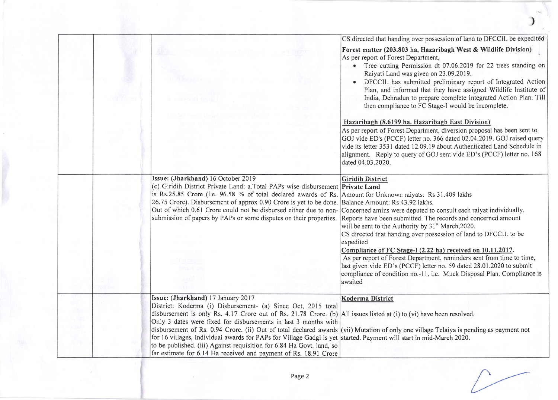|  |                                                                                                                                                                                               | CS directed that handing over possession of land to DFCCIL be expedited                                                                            |
|--|-----------------------------------------------------------------------------------------------------------------------------------------------------------------------------------------------|----------------------------------------------------------------------------------------------------------------------------------------------------|
|  |                                                                                                                                                                                               | Forest matter (203.803 ha, Hazaribagh West & Wildlife Division)<br>As per report of Forest Department,                                             |
|  |                                                                                                                                                                                               | • Tree cutting Permission dt 07.06.2019 for 22 trees standing on<br>Raiyati Land was given on 23.09.2019.                                          |
|  |                                                                                                                                                                                               | DFCCIL has submitted preliminary report of Integrated Action                                                                                       |
|  |                                                                                                                                                                                               | Plan, and informed that they have assigned Wildlife Institute of                                                                                   |
|  |                                                                                                                                                                                               | India, Dehradun to prepare complete Integrated Action Plan. Till<br>then compliance to FC Stage-I would be incomplete.                             |
|  |                                                                                                                                                                                               | Hazaribagh (8.6199 ha. Hazaribagh East Division)                                                                                                   |
|  |                                                                                                                                                                                               | As per report of Forest Department, diversion proposal has been sent to                                                                            |
|  |                                                                                                                                                                                               | GOJ vide ED's (PCCF) letter no. 366 dated 02.04.2019. GOJ raised query<br>vide its letter 3531 dated 12.09.19 about Authenticated Land Schedule in |
|  |                                                                                                                                                                                               | alignment. Reply to query of GOJ sent vide ED's (PCCF) letter no. 168                                                                              |
|  |                                                                                                                                                                                               | dated 04.03.2020.                                                                                                                                  |
|  | Issue: (Jharkhand) 16 October 2019                                                                                                                                                            | <b>Giridih District</b>                                                                                                                            |
|  | (c) Giridih District Private Land: a.Total PAPs wise disbursement Private Land<br>is Rs.25.85 Crore (i.e. 96.58 % of total declared awards of Rs. Amount for Unknown raiyats: Rs 31.409 lakhs |                                                                                                                                                    |
|  | 26.75 Crore). Disbursement of approx 0.90 Crore is yet to be done. Balance Amount: Rs 43.92 lakhs.                                                                                            |                                                                                                                                                    |
|  | Out of which 0.61 Crore could not be disbursed either due to non-                                                                                                                             | Concerned amins were deputed to consult each raiyat individually.                                                                                  |
|  | submission of papers by PAPs or some disputes on their properties.                                                                                                                            | Reports have been submitted. The records and concerned amount<br>will be sent to the Authority by 31 <sup>st</sup> March, 2020.                    |
|  |                                                                                                                                                                                               | CS directed that handing over possession of land to DFCCIL to be                                                                                   |
|  |                                                                                                                                                                                               | expedited                                                                                                                                          |
|  |                                                                                                                                                                                               | Compliance of FC Stage-I (2.22 ha) received on 10.11.2017.<br>As per report of Forest Department, reminders sent from time to time,                |
|  |                                                                                                                                                                                               | last given vide ED's (PCCF) letter no. 59 dated 28.01.2020 to submit                                                                               |
|  |                                                                                                                                                                                               | compliance of condition no.-11, i.e. Muck Disposal Plan. Compliance is                                                                             |
|  |                                                                                                                                                                                               | awaited                                                                                                                                            |
|  | Issue: (Jharkhand) 17 January 2017                                                                                                                                                            | Koderma District                                                                                                                                   |
|  | District: Koderma (i) Disbursement- (a) Since Oct, 2015 total<br>disbursement is only Rs. 4.17 Crore out of Rs. 21.78 Crore. (b) All issues listed at (i) to (vi) have been resolved.         |                                                                                                                                                    |
|  | Only 3 dates were fixed for disbursements in last 3 months with                                                                                                                               |                                                                                                                                                    |
|  |                                                                                                                                                                                               | disbursement of Rs. 0.94 Crore. (ii) Out of total declared awards (vii) Mutation of only one village Telaiya is pending as payment not             |
|  | for 16 villages, Individual awards for PAPs for Village Gadgi is yet started. Payment will start in mid-March 2020.<br>to be published. (iii) Against requisition for 6.84 Ha Govt. land, so  |                                                                                                                                                    |
|  | far estimate for 6.14 Ha received and payment of Rs. 18.91 Crore                                                                                                                              |                                                                                                                                                    |

)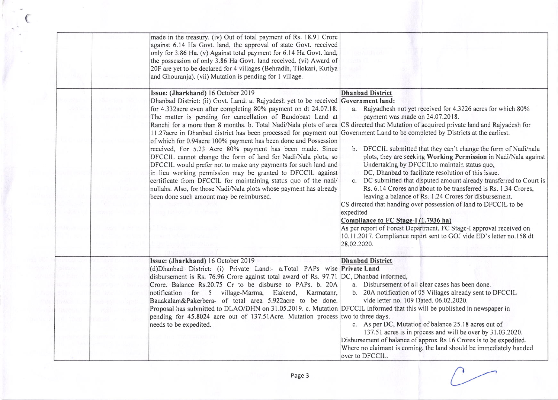|  | made in the treasury. (iv) Out of total payment of Rs. 18.91 Crore<br>against 6.14 Ha Govt. land, the approval of state Govt. received<br>only for 3.86 Ha. (v) Against total payment for 6.14 Ha Govt. land,<br>the possession of only 3.86 Ha Govt. land received. (vi) Award of<br>20F are yet to be declared for 4 villages (Behradih, Tilokari, Kutiya<br>and Ghouranja). (vii) Mutation is pending for 1 village.                                                                                                                                                                                                                                                                                                                                                                                                                                                                                             |                                                                                                                                                                                                                                                                                                                                                                                                                                                                                                                                                                                                                                                                                                                                                                                                                                                                                                                                                                                                                 |
|--|---------------------------------------------------------------------------------------------------------------------------------------------------------------------------------------------------------------------------------------------------------------------------------------------------------------------------------------------------------------------------------------------------------------------------------------------------------------------------------------------------------------------------------------------------------------------------------------------------------------------------------------------------------------------------------------------------------------------------------------------------------------------------------------------------------------------------------------------------------------------------------------------------------------------|-----------------------------------------------------------------------------------------------------------------------------------------------------------------------------------------------------------------------------------------------------------------------------------------------------------------------------------------------------------------------------------------------------------------------------------------------------------------------------------------------------------------------------------------------------------------------------------------------------------------------------------------------------------------------------------------------------------------------------------------------------------------------------------------------------------------------------------------------------------------------------------------------------------------------------------------------------------------------------------------------------------------|
|  | Issue: (Jharkhand) 16 October 2019<br>Dhanbad District: (ii) Govt. Land: a. Rajyadesh yet to be received Government land:<br>for 4.332acre even after completing 80% payment on dt 24.07.18.<br>The matter is pending for cancellation of Bandobast Land at<br>11.27acre in Dhanbad district has been processed for payment out Government Land to be completed by Districts at the earliest.<br>of which for 0.94acre 100% payment has been done and Possession<br>received, For 5.23 Acre 80% payment has been made. Since<br>DFCCIL cannot change the form of land for Nadi/Nala plots, so<br>DFCCIL would prefer not to make any payments for such land and<br>in lieu working permission may be granted to DFCCIL against<br>certificate from DFCCIL for maintaining status quo of the nadi/<br>nullahs. Also, for those Nadi/Nala plots whose payment has already<br>been done such amount may be reimbursed. | <b>Dhanbad District</b><br>a. Rajyadhesh not yet received for 4.3226 acres for which 80%<br>payment was made on 24.07.2018.<br>Ranchi for a more than 8 months. b. Total Nadi/Nala plots of area CS directed that Mutation of acquired private land and Rajyadesh for<br>b. DFCCIL submitted that they can't change the form of Nadi/nala<br>plots, they are seeking Working Permission in Nadi/Nala against<br>Undertaking by DFCCILto maintain status quo.<br>DC, Dhanbad to facilitate resolution of this issue.<br>c. DC submitted that disputed amount already transferred to Court is<br>Rs. 6.14 Crores and about to be transferred is Rs. 1.34 Crores,<br>leaving a balance of Rs. 1.24 Crores for disbursement.<br>CS directed that handing over possession of land to DFCCIL to be<br>expedited<br>Compliance to FC Stage-1 (1.7936 ha)<br>As per report of Forest Department, FC Stage-I approval received on<br>10.11.2017. Compliance report sent to GOJ vide ED's letter no.158 dt<br>28.02.2020. |
|  | Issue: (Jharkhand) 16 October 2019<br>(d)Dhanbad District: (i) Private Land:- a.Total PAPs wise Private Land<br>disbursement is Rs. 76.96 Crore against total award of Rs. 97.71 DC, Dhanbad informed,<br>Crore. Balance Rs.20.75 Cr to be disburse to PAPs. b. 20A<br>notification for 5 village-Marma, Elakend, Karmatanr,<br>Bauakalam&Pakerbera- of total area 5.922acre to be done.<br>Proposal has submitted to DLAO/DHN on 31.05.2019. c. Mutation DFCCIL informed that this will be published in newspaper in<br>pending for 45.8024 acre out of 137.51 Acre. Mutation process two to three days.<br>needs to be expedited.                                                                                                                                                                                                                                                                                 | <b>Dhanbad District</b><br>a. Disbursement of all clear cases has been done.<br>b. 20A notification of 05 Villages already sent to DFCCIL<br>vide letter no. 109 Dated, 06.02.2020.<br>c. As per DC, Mutation of balance 25.18 acres out of<br>137.51 acres is in process and will be over by 31.03.2020.<br>Disbursement of balance of approx Rs 16 Crores is to be expedited.<br>Where no claimant is coming, the land should be immediately handed<br>over to DFCCIL.                                                                                                                                                                                                                                                                                                                                                                                                                                                                                                                                        |

(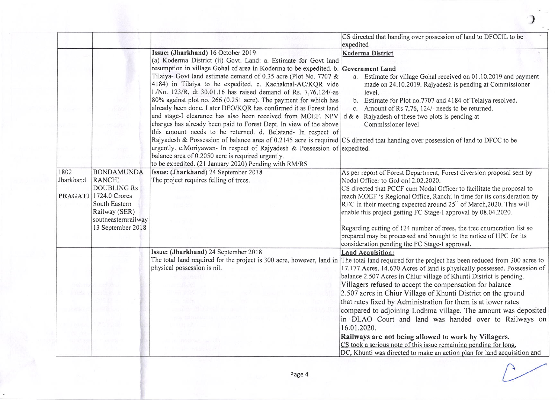|           |                                                              |                                                                                                                                                                                                                                                                                                                                                                                                                                                                                                                                                                                                                                                                                                                                                                                                                                                                                                                                                                                                                    | CS directed that handing over possession of land to DFCCIL to be<br>expedited                                                                                                                                                                                                                                                                                      |
|-----------|--------------------------------------------------------------|--------------------------------------------------------------------------------------------------------------------------------------------------------------------------------------------------------------------------------------------------------------------------------------------------------------------------------------------------------------------------------------------------------------------------------------------------------------------------------------------------------------------------------------------------------------------------------------------------------------------------------------------------------------------------------------------------------------------------------------------------------------------------------------------------------------------------------------------------------------------------------------------------------------------------------------------------------------------------------------------------------------------|--------------------------------------------------------------------------------------------------------------------------------------------------------------------------------------------------------------------------------------------------------------------------------------------------------------------------------------------------------------------|
|           |                                                              | Issue: (Jharkhand) 16 October 2019<br>(a) Koderma District (ii) Govt. Land: a. Estimate for Govt land<br>resumption in village Gohal of area in Koderma to be expedited. b. Government Land<br>Tilaiya- Govt land estimate demand of 0.35 acre (Plot No. 7707 &<br>4184) in Tilaiya to be expedited. c. Kachaknal-AC/KQR vide<br>L/No. 123/R, dt 30.01.16 has raised demand of Rs. 7,76,124/-as<br>80% against plot no. 266 (0.251 acre). The payment for which has<br>already been done. Later DFO/KQR has confirmed it as Forest land<br>and stage-I clearance has also been received from MOEF. NPV<br>charges has already been paid to Forest Dept. In view of the above<br>this amount needs to be returned. d. Belatand- In respect of<br>Rajyadesh & Possession of balance area of 0.2145 acre is required CS directed that handing over possession of land to DFCC to be<br>urgently. e.Moriyawan- In respect of Rajyadesh & Possession of expedited.<br>balance area of 0.2050 acre is required urgently. | Koderma District<br>a. Estimate for village Gohal received on 01.10.2019 and payment<br>made on 24.10.2019. Rajyadesh is pending at Commissioner<br>level.<br>b. Estimate for Plot no.7707 and 4184 of Telaiya resolved.<br>Amount of Rs 7,76, 124/- needs to be returned.<br>$c_{-}$<br>$d \& e$ Rajyadesh of these two plots is pending at<br>Commissioner level |
| 1802      | <b>BONDAMUNDA</b>                                            | to be expedited. (21 January 2020) Pending with RM/RS<br>Issue: (Jharkhand) 24 September 2018                                                                                                                                                                                                                                                                                                                                                                                                                                                                                                                                                                                                                                                                                                                                                                                                                                                                                                                      | As per report of Forest Department, Forest diversion proposal sent by                                                                                                                                                                                                                                                                                              |
| Jharkhand | <b>RANCHI</b><br><b>DOUBLING Rs</b><br>PRAGATI 1724.0 Crores | The project requires felling of trees.                                                                                                                                                                                                                                                                                                                                                                                                                                                                                                                                                                                                                                                                                                                                                                                                                                                                                                                                                                             | Nodal Officer to GoJ on12.02.2020.<br>CS directed that PCCF cum Nodal Officer to facilitate the proposal to<br>reach MOEF 's Regional Office, Ranchi in time for its consideration by                                                                                                                                                                              |
|           | South Eastern<br>Railway (SER)<br>southeasternrailway        |                                                                                                                                                                                                                                                                                                                                                                                                                                                                                                                                                                                                                                                                                                                                                                                                                                                                                                                                                                                                                    | REC in their meeting expected around 25 <sup>th</sup> of March, 2020. This will<br>enable this project getting FC Stage-I approval by 08.04.2020.                                                                                                                                                                                                                  |
|           | 13 September 2018                                            |                                                                                                                                                                                                                                                                                                                                                                                                                                                                                                                                                                                                                                                                                                                                                                                                                                                                                                                                                                                                                    | Regarding cutting of 124 number of trees, the tree enumeration list so<br>prepared may be processed and brought to the notice of HPC for its<br>consideration pending the FC Stage-I approval.                                                                                                                                                                     |
|           |                                                              | Issue: (Jharkhand) 24 September 2018<br>physical possession is nil.                                                                                                                                                                                                                                                                                                                                                                                                                                                                                                                                                                                                                                                                                                                                                                                                                                                                                                                                                | <b>Land Acquisition:</b><br>The total land required for the project is 300 acre, however, land in The total land required for the project has been reduced from 300 acres to<br>17.177 Acres. 14.670 Acres of land is physically possessed. Possession of<br>balance 2.507 Acres in Chiur village of Khunti District is pending.                                   |
|           |                                                              |                                                                                                                                                                                                                                                                                                                                                                                                                                                                                                                                                                                                                                                                                                                                                                                                                                                                                                                                                                                                                    | Villagers refused to accept the compensation for balance<br>2.507 acres in Chiur Village of Khunti District on the ground                                                                                                                                                                                                                                          |
|           |                                                              |                                                                                                                                                                                                                                                                                                                                                                                                                                                                                                                                                                                                                                                                                                                                                                                                                                                                                                                                                                                                                    | that rates fixed by Administration for them is at lower rates<br>compared to adjoining Lodhma village. The amount was deposited<br>in DLAO Court and land was handed over to Railways on                                                                                                                                                                           |
|           |                                                              |                                                                                                                                                                                                                                                                                                                                                                                                                                                                                                                                                                                                                                                                                                                                                                                                                                                                                                                                                                                                                    | 16.01.2020.<br>Railways are not being allowed to work by Villagers.                                                                                                                                                                                                                                                                                                |
|           |                                                              |                                                                                                                                                                                                                                                                                                                                                                                                                                                                                                                                                                                                                                                                                                                                                                                                                                                                                                                                                                                                                    | CS took a serious note of this issue remaining pending for long.<br>DC, Khunti was directed to make an action plan for land acquisition and                                                                                                                                                                                                                        |

)